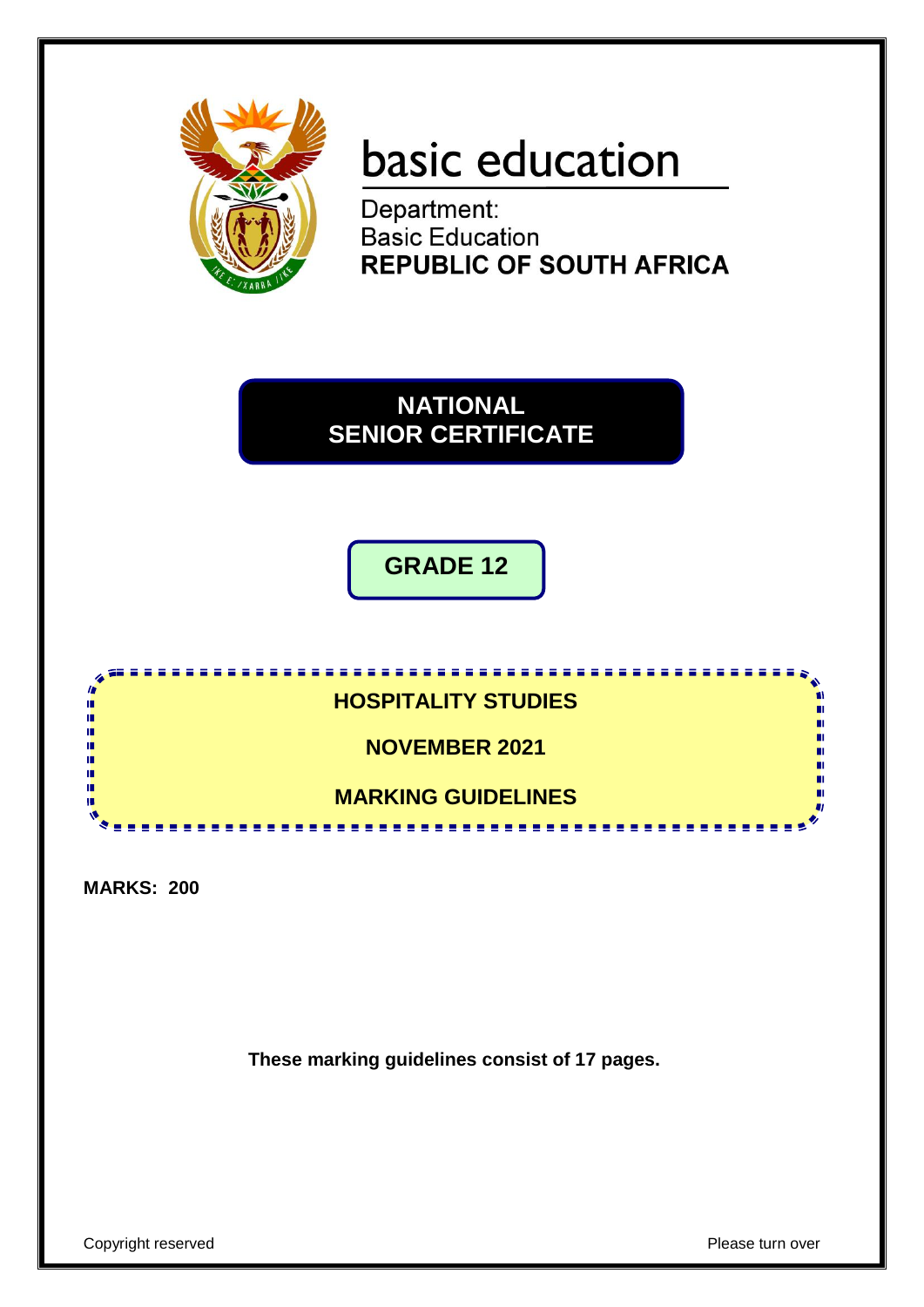

# basic education

Department: **Basic Education REPUBLIC OF SOUTH AFRICA** 

**NATIONAL SENIOR CERTIFICATE**

**GRADE 12**



**MARKS: 200**

**These marking guidelines consist of 17 pages.**

Copyright reserved **Please** turn over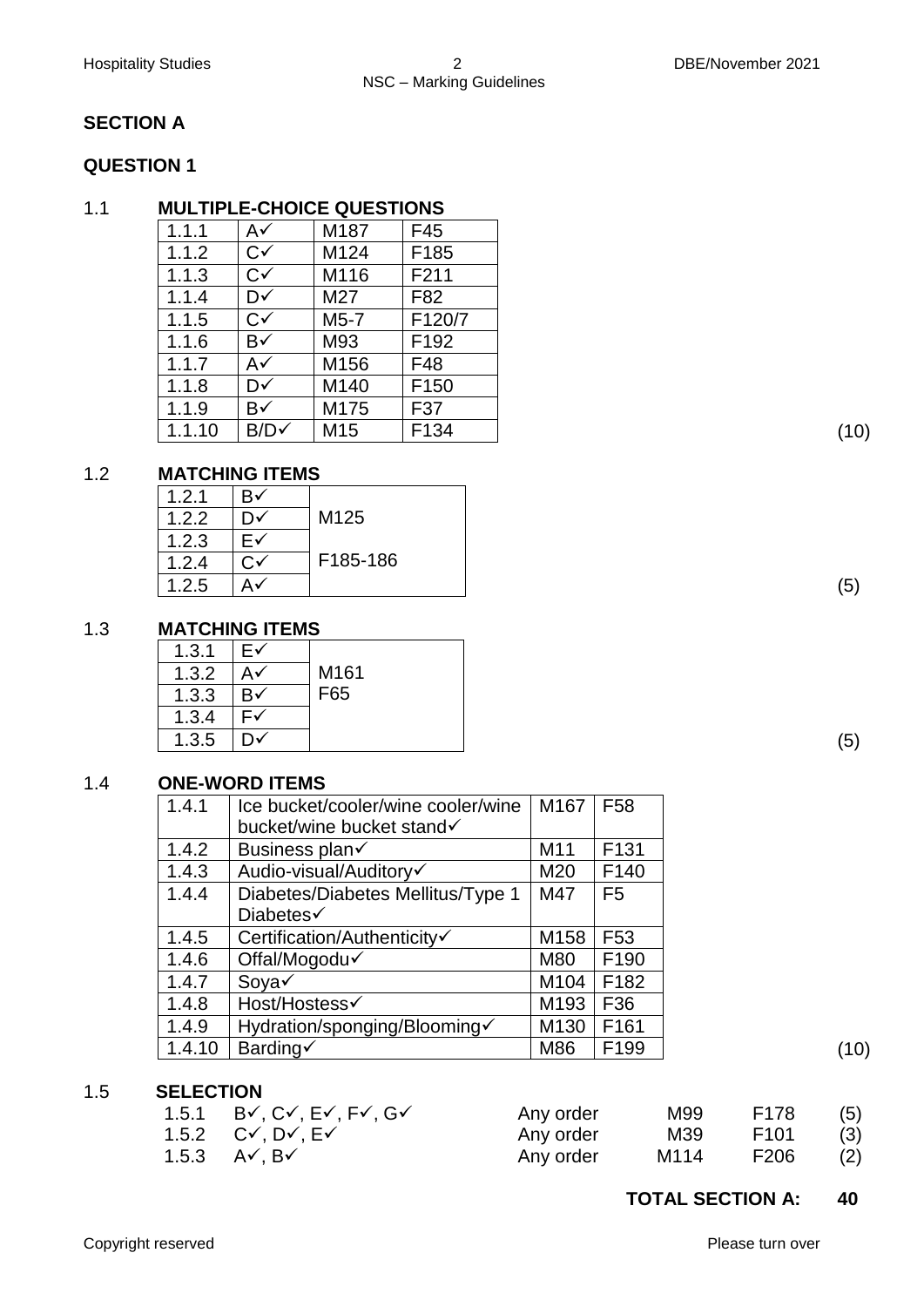# **SECTION A**

# **QUESTION 1**

# 1.1 **MULTIPLE-CHOICE QUESTIONS**

| 1.1.1  | A✓               | M187 | F45              |
|--------|------------------|------|------------------|
| 1.1.2  | $C\checkmark$    | M124 | F185             |
| 1.1.3  | $C\checkmark$    | M116 | F211             |
| 1.1.4  | D√               | M27  | F82              |
| 1.1.5  | $C\checkmark$    | M5-7 | F120/7           |
| 1.1.6  | B√               | M93  | F <sub>192</sub> |
| 1.1.7  | A✓               | M156 | F48              |
| 1.1.8  | D√               | M140 | F <sub>150</sub> |
| 1.1.9  | B√               | M175 | F37              |
| 1.1.10 | $B/D \checkmark$ | M15  | F134             |

# 1.2 **MATCHING ITEMS**

| 1.2.1 | B۰     |          |
|-------|--------|----------|
| 1.2.2 | D٧     | M125     |
| 1.2.3 | ⊢∨     |          |
| 1.2.4 | ⌒<br>ີ | F185-186 |
| 1.2.5 | Αv     |          |

# 1.3 **MATCHING ITEMS**

| 1.3.1 | E۷ |      |
|-------|----|------|
| 1.3.2 | A√ | M161 |
| 1.3.3 | B√ | F65  |
| 1.3.4 | -  |      |
| 1.3.5 | D√ |      |

# 1.4 **ONE-WORD ITEMS**

| 1.4.1  | Ice bucket/cooler/wine cooler/wine<br>bucket/wine bucket stand√ | M167            | F <sub>58</sub>  |      |
|--------|-----------------------------------------------------------------|-----------------|------------------|------|
| 1.4.2  | Business plan√                                                  | M <sub>11</sub> | F <sub>131</sub> |      |
| 1.4.3  | Audio-visual/Auditory√                                          | M20             | F <sub>140</sub> |      |
| 1.4.4  | Diabetes/Diabetes Mellitus/Type 1                               | M47             | F <sub>5</sub>   |      |
|        | Diabetes√                                                       |                 |                  |      |
| 1.4.5  | Certification/Authenticity√                                     | M158            | F <sub>53</sub>  |      |
| 1.4.6  | Offal/Mogodu                                                    | M80             | F <sub>190</sub> |      |
| 1.4.7  | Soya√                                                           | M104            | F182             |      |
| 1.4.8  | Host/Hostess√                                                   | M193            | F36              |      |
| 1.4.9  | Hydration/sponging/Blooming√                                    | M130            | F161             |      |
| 1.4.10 | Barding√                                                        | M86             | F <sub>199</sub> | (10) |

# 1.5 **SELECTION**

| 1.5.1 $B\checkmark$ , $C\checkmark$ , $E\checkmark$ , $F\checkmark$ , $G\checkmark$ | Any order | M99  | F178 | (5) |
|-------------------------------------------------------------------------------------|-----------|------|------|-----|
| 1.5.2 $C\checkmark$ , $D\checkmark$ , $E\checkmark$                                 | Any order | M39  | F101 | (3) |
| 1.5.3 $A\checkmark$ , B $\checkmark$                                                | Any order | M114 | F206 | (2) |

# **TOTAL SECTION A: 40**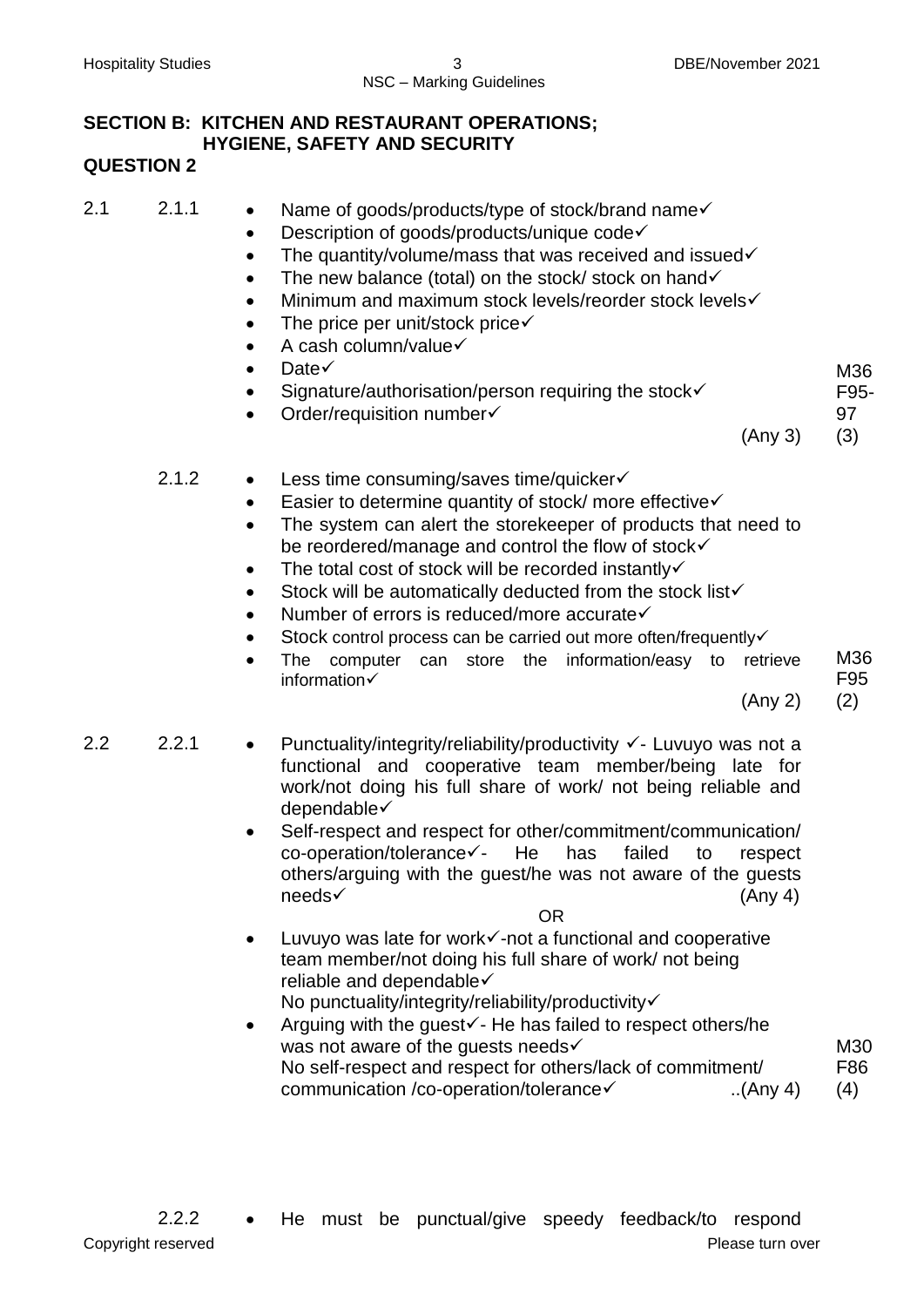### **SECTION B: KITCHEN AND RESTAURANT OPERATIONS; HYGIENE, SAFETY AND SECURITY QUESTION 2**

| 2.1 | 2.1.1 |  | Name of goods/products/type of stock/brand name√ |
|-----|-------|--|--------------------------------------------------|
|-----|-------|--|--------------------------------------------------|

- Description of goods/products/unique code $\checkmark$
- $\bullet$  The quantity/volume/mass that was received and issued $\checkmark$
- $\bullet$  The new balance (total) on the stock/ stock on hand  $\checkmark$
- Minimum and maximum stock levels/reorder stock levels $\checkmark$
- The price per unit/stock price $\checkmark$
- $\bullet$  A cash column/value $\checkmark$
- $\bullet$  Date $\checkmark$
- $\bullet$  Signature/authorisation/person requiring the stock $\checkmark$
- Order/requisition number

(Any 3) (3)

M36 F95- 97

- 2.1.2 Less time consuming/saves time/quicker $\checkmark$ 
	- Easier to determine quantity of stock/ more effective $\checkmark$
	- The system can alert the storekeeper of products that need to be reordered/manage and control the flow of stock√
	- $\bullet$  The total cost of stock will be recorded instantly  $\checkmark$
	- $\bullet$  Stock will be automatically deducted from the stock list $\checkmark$
	- Number of errors is reduced/more accurate√
	- Stock control process can be carried out more often/frequently
	- The computer can store the information/easy to retrieve information

(Any 2) (2)

M36 F95

- 2.2 2.2.1 Punctuality/integrity/reliability/productivity  $\checkmark$  Luvuyo was not a functional and cooperative team member/being late for work/not doing his full share of work/ not being reliable and dependable
	- Self-respect and respect for other/commitment/communication/  $co\text{-}operation/tolerance\checkmark$ - He has failed to respect others/arguing with the guest/he was not aware of the guests  $\text{needs} \checkmark$  (Any 4)

OR

- $\bullet$  Luvuyo was late for work $\checkmark$ -not a functional and cooperative team member/not doing his full share of work/ not being reliable and dependable No punctuality/integrity/reliability/productivity√
- Arguing with the guest $\checkmark$  He has failed to respect others/he was not aware of the quests needs $\checkmark$ No self-respect and respect for others/lack of commitment/ communication /co-operation/tolerance ..(Any 4) M30 F86 (4)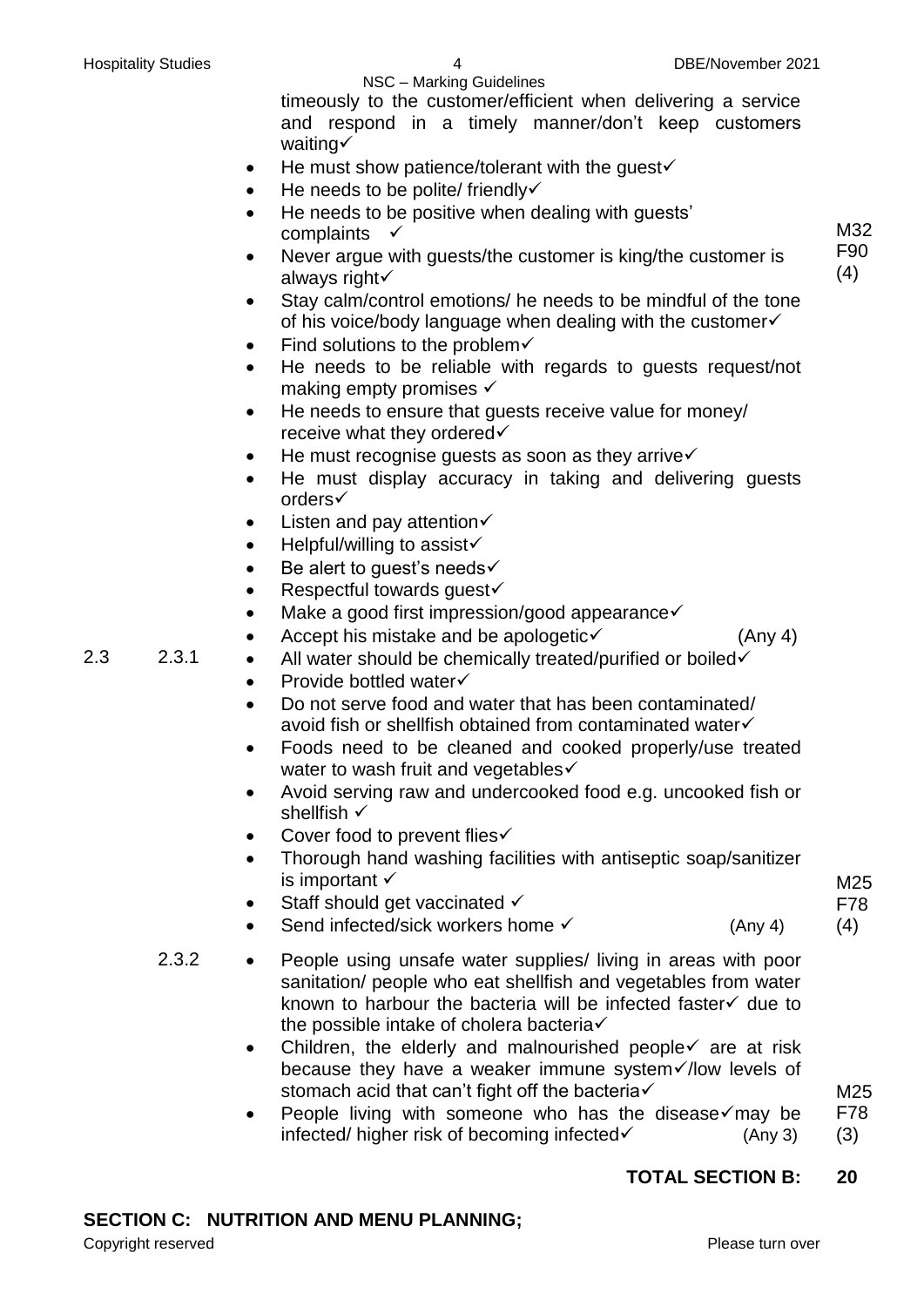|     |       | NSC - Marking Guidelines                                                                                                     |            |
|-----|-------|------------------------------------------------------------------------------------------------------------------------------|------------|
|     |       | timeously to the customer/efficient when delivering a service                                                                |            |
|     |       | and respond in a timely manner/don't keep customers                                                                          |            |
|     |       | waiting√                                                                                                                     |            |
|     |       | He must show patience/tolerant with the guest<br>$\bullet$                                                                   |            |
|     |       | He needs to be polite/ friendly√                                                                                             |            |
|     |       | He needs to be positive when dealing with guests'                                                                            |            |
|     |       | complaints                                                                                                                   | M32        |
|     |       | Never argue with guests/the customer is king/the customer is<br>$\bullet$<br>always right√                                   | F90<br>(4) |
|     |       | Stay calm/control emotions/ he needs to be mindful of the tone<br>of his voice/body language when dealing with the customer√ |            |
|     |       | Find solutions to the problem $\checkmark$<br>٠                                                                              |            |
|     |       | He needs to be reliable with regards to guests request/not<br>$\bullet$                                                      |            |
|     |       | making empty promises $\checkmark$                                                                                           |            |
|     |       | He needs to ensure that guests receive value for money/<br>$\bullet$                                                         |            |
|     |       | receive what they ordered√                                                                                                   |            |
|     |       | He must recognise guests as soon as they arrive $\checkmark$                                                                 |            |
|     |       | He must display accuracy in taking and delivering guests                                                                     |            |
|     |       | orders√                                                                                                                      |            |
|     |       | Listen and pay attention $\checkmark$<br>$\bullet$                                                                           |            |
|     |       | Helpful/willing to assist√<br>$\bullet$                                                                                      |            |
|     |       | Be alert to guest's needs√                                                                                                   |            |
|     |       | Respectful towards guest√                                                                                                    |            |
|     |       | Make a good first impression/good appearance√                                                                                |            |
|     |       | Accept his mistake and be apologetic√<br>(Any 4)<br>$\bullet$                                                                |            |
| 2.3 | 2.3.1 | All water should be chemically treated/purified or boiled√<br>$\bullet$                                                      |            |
|     |       | Provide bottled water√<br>$\bullet$                                                                                          |            |
|     |       | Do not serve food and water that has been contaminated/<br>$\bullet$                                                         |            |
|     |       | avoid fish or shellfish obtained from contaminated water√                                                                    |            |
|     |       | Foods need to be cleaned and cooked properly/use treated                                                                     |            |
|     |       | water to wash fruit and vegetables√                                                                                          |            |
|     |       | Avoid serving raw and undercooked food e.g. uncooked fish or                                                                 |            |
|     |       | shellfish $\checkmark$                                                                                                       |            |
|     |       | Cover food to prevent flies√                                                                                                 |            |
|     |       | Thorough hand washing facilities with antiseptic soap/sanitizer                                                              |            |
|     |       | is important $\checkmark$                                                                                                    | M25        |
|     |       | Staff should get vaccinated √                                                                                                | F78        |
|     |       | Send infected/sick workers home √<br>(Any 4)                                                                                 | (4)        |
|     | 2.3.2 | People using unsafe water supplies/ living in areas with poor                                                                |            |
|     |       | sanitation/ people who eat shellfish and vegetables from water                                                               |            |
|     |       | known to harbour the bacteria will be infected faster v due to                                                               |            |
|     |       | the possible intake of cholera bacteria√                                                                                     |            |
|     |       | Children, the elderly and malnourished people√ are at risk<br>$\bullet$                                                      |            |
|     |       | because they have a weaker immune system√/low levels of                                                                      |            |
|     |       | stomach acid that can't fight off the bacteria√                                                                              | M25        |
|     |       | People living with someone who has the disease $\checkmark$ may be<br>٠                                                      | F78        |
|     |       | infected/ higher risk of becoming infected√<br>(Any 3)                                                                       | (3)        |
|     |       |                                                                                                                              |            |

# **TOTAL SECTION B: 20**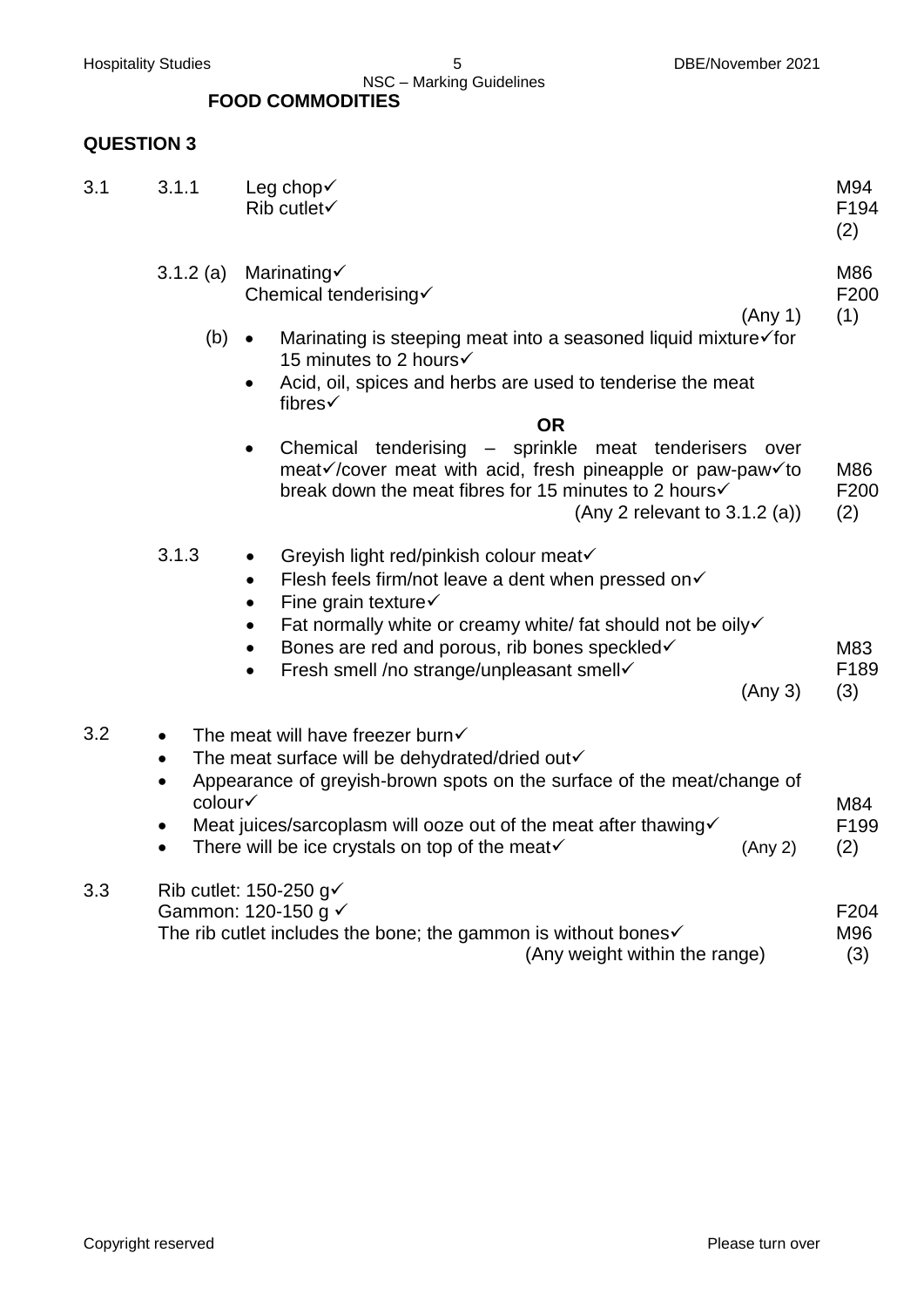NSC – Marking Guidelines  **FOOD COMMODITIES**

# **QUESTION 3**

| 3.1 | 3.1.1                                                                    | Leg chop√<br>Rib cutlet $\checkmark$                                                                                                                                                                                                                                                                                                                                  | M94<br>F194<br>(2)             |
|-----|--------------------------------------------------------------------------|-----------------------------------------------------------------------------------------------------------------------------------------------------------------------------------------------------------------------------------------------------------------------------------------------------------------------------------------------------------------------|--------------------------------|
|     | $3.1.2$ (a)<br>$(b) \bullet$                                             | Marinating√<br>Chemical tenderising√<br>(Any 1)<br>Marinating is steeping meat into a seasoned liquid mixture√for<br>15 minutes to 2 hours√<br>Acid, oil, spices and herbs are used to tenderise the meat<br>$\bullet$<br>fibres√                                                                                                                                     | M86<br>F200<br>(1)             |
|     |                                                                          | <b>OR</b><br>Chemical tenderising - sprinkle meat tenderisers<br>over<br>$\bullet$<br>meat√/cover meat with acid, fresh pineapple or paw-paw√to<br>break down the meat fibres for 15 minutes to 2 hours√<br>(Any 2 relevant to $3.1.2$ (a))                                                                                                                           | M86<br>F200<br>(2)             |
|     | 3.1.3                                                                    | Greyish light red/pinkish colour meat√<br>$\bullet$<br>Flesh feels firm/not leave a dent when pressed on√<br>$\bullet$<br>Fine grain texture $\checkmark$<br>$\bullet$<br>Fat normally white or creamy white/ fat should not be oily<br>$\bullet$<br>Bones are red and porous, rib bones speckled<br>Fresh smell /no strange/unpleasant smell<br>$\bullet$<br>(Any 3) | M83<br>F189<br>(3)             |
| 3.2 | $\bullet$<br>$\bullet$<br>$\bullet$<br>colour√<br>$\bullet$<br>$\bullet$ | The meat will have freezer burn√<br>The meat surface will be dehydrated/dried out<br>Appearance of greyish-brown spots on the surface of the meat/change of<br>Meat juices/sarcoplasm will ooze out of the meat after thawing√<br>There will be ice crystals on top of the meat $\checkmark$<br>(Any 2)                                                               | M84<br>F <sub>199</sub><br>(2) |
| 3.3 |                                                                          | Rib cutlet: 150-250 g $\checkmark$<br>Gammon: 120-150 g √<br>The rib cutlet includes the bone; the gammon is without bones $\checkmark$<br>(Any weight within the range)                                                                                                                                                                                              | F <sub>204</sub><br>M96<br>(3) |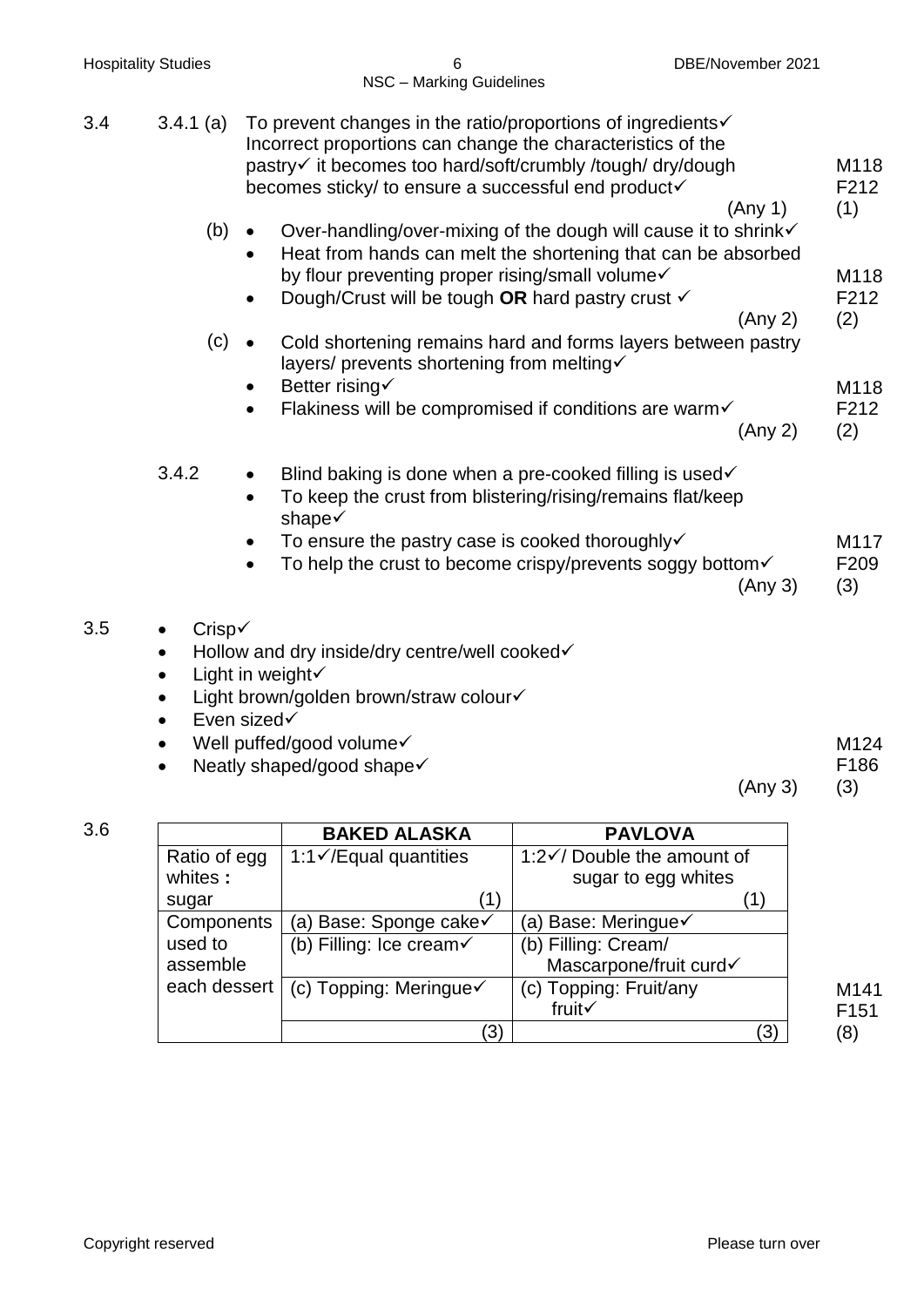| <b>Hospitality Studies</b> |                                                                 | DBE/November 2021<br>6<br>NSC - Marking Guidelines                                                                                                                                                                                                                                                 |                            |
|----------------------------|-----------------------------------------------------------------|----------------------------------------------------------------------------------------------------------------------------------------------------------------------------------------------------------------------------------------------------------------------------------------------------|----------------------------|
| 3.4                        | $3.4.1$ (a)                                                     | To prevent changes in the ratio/proportions of ingredients $\checkmark$<br>Incorrect proportions can change the characteristics of the<br>pastry√ it becomes too hard/soft/crumbly /tough/ dry/dough<br>becomes sticky/ to ensure a successful end product√                                        | M118<br>F212               |
|                            | (b)                                                             | (Any 1)<br>Over-handling/over-mixing of the dough will cause it to shrink√<br>$\bullet$<br>Heat from hands can melt the shortening that can be absorbed<br>$\bullet$<br>by flour preventing proper rising/small volume<br>Dough/Crust will be tough OR hard pastry crust v<br>$\bullet$<br>(Any 2) | (1)<br>M118<br>F212<br>(2) |
|                            | (c)                                                             | Cold shortening remains hard and forms layers between pastry<br>$\bullet$<br>layers/ prevents shortening from melting√<br>Better rising√<br>Flakiness will be compromised if conditions are warm√<br>$\bullet$<br>(Any 2)                                                                          | M118<br>F212<br>(2)        |
|                            | 3.4.2                                                           | Blind baking is done when a pre-cooked filling is used√<br>$\bullet$<br>To keep the crust from blistering/rising/remains flat/keep<br>$\bullet$<br>shape√<br>To ensure the pastry case is cooked thoroughly√<br>To help the crust to become crispy/prevents soggy bottom√<br>$\bullet$<br>(Any 3)  | M117<br>F209<br>(3)        |
| 3.5                        | Crisp√<br>$\bullet$<br>$\bullet$<br>٠<br>$\bullet$<br>$\bullet$ | Hollow and dry inside/dry centre/well cooked√<br>Light in weight√<br>Light brown/golden brown/straw colour√<br>Even sized√<br>Well puffed/good volume√<br>Neatly shaped/good shape√                                                                                                                | M124<br>F186               |

| l |  |  |  |
|---|--|--|--|
|   |  |  |  |
|   |  |  |  |
|   |  |  |  |

|              | <b>BAKED ALASKA</b>                 | <b>PAVLOVA</b>                        |
|--------------|-------------------------------------|---------------------------------------|
| Ratio of egg | 1:1 $\checkmark$ /Equal quantities  | 1:2 $\checkmark$ Double the amount of |
| whites:      |                                     | sugar to egg whites                   |
| sugar        | (1)                                 |                                       |
| Components   | (a) Base: Sponge cake√              | (a) Base: Meringue√                   |
| used to      | (b) Filling: Ice cream $\checkmark$ | (b) Filling: Cream/                   |
| assemble     |                                     | Mascarpone/fruit curd                 |
| each dessert | (c) Topping: Meringue $\checkmark$  | (c) Topping: Fruit/any                |
|              |                                     | fruit√                                |
|              | ΄3)                                 | (3)                                   |

(Any 3) (3)

M141 F151 (8)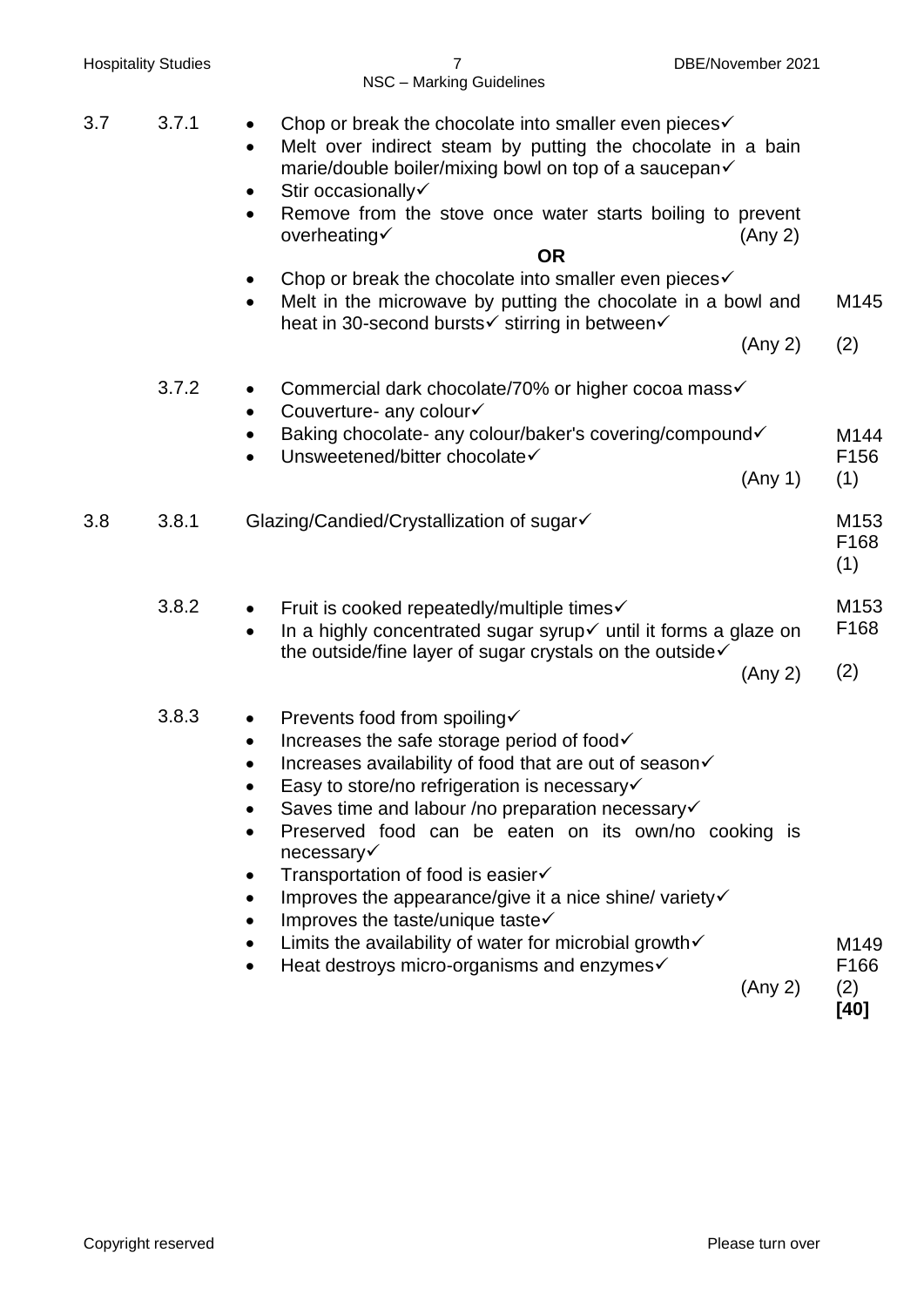| <b>Hospitality Studies</b> |                    | 7<br>NSC - Marking Guidelines                                                                                                                                                                                                                                                                                                                                                                                                                                                                                                                                                                                   | DBE/November 2021 |                     |
|----------------------------|--------------------|-----------------------------------------------------------------------------------------------------------------------------------------------------------------------------------------------------------------------------------------------------------------------------------------------------------------------------------------------------------------------------------------------------------------------------------------------------------------------------------------------------------------------------------------------------------------------------------------------------------------|-------------------|---------------------|
| 3.7                        | 3.7.1              | Chop or break the chocolate into smaller even pieces√<br>$\bullet$<br>Melt over indirect steam by putting the chocolate in a bain<br>$\bullet$<br>marie/double boiler/mixing bowl on top of a saucepan√<br>Stir occasionally<br>Remove from the stove once water starts boiling to prevent<br>$\bullet$<br>overheating√<br><b>OR</b><br>Chop or break the chocolate into smaller even pieces√<br>$\bullet$                                                                                                                                                                                                      | (Any 2)           |                     |
|                            |                    | Melt in the microwave by putting the chocolate in a bowl and<br>$\bullet$<br>heat in 30-second bursts√ stirring in between√                                                                                                                                                                                                                                                                                                                                                                                                                                                                                     |                   | M145                |
|                            |                    |                                                                                                                                                                                                                                                                                                                                                                                                                                                                                                                                                                                                                 | (Any 2)           | (2)                 |
|                            | 3.7.2              | Commercial dark chocolate/70% or higher cocoa mass√<br>$\bullet$<br>Couverture- any colour√<br>$\bullet$                                                                                                                                                                                                                                                                                                                                                                                                                                                                                                        |                   |                     |
|                            |                    | Baking chocolate- any colour/baker's covering/compound√<br>٠<br>Unsweetened/bitter chocolate√<br>$\bullet$                                                                                                                                                                                                                                                                                                                                                                                                                                                                                                      | (Any 1)           | M144<br>F156<br>(1) |
| 3.8                        | 3.8.1              | Glazing/Candied/Crystallization of sugar√                                                                                                                                                                                                                                                                                                                                                                                                                                                                                                                                                                       |                   | M153<br>F168<br>(1) |
|                            | 3.8.2<br>$\bullet$ | Fruit is cooked repeatedly/multiple times√<br>$\bullet$<br>In a highly concentrated sugar syrup√ until it forms a glaze on                                                                                                                                                                                                                                                                                                                                                                                                                                                                                      |                   | M153<br>F168        |
|                            |                    | the outside/fine layer of sugar crystals on the outside√                                                                                                                                                                                                                                                                                                                                                                                                                                                                                                                                                        | (Any 2)           | (2)                 |
|                            | 3.8.3              | Prevents food from spoiling√<br>Increases the safe storage period of food√<br>Increases availability of food that are out of season√<br>Easy to store/no refrigeration is necessary√<br>Saves time and labour /no preparation necessary√<br>Preserved food can be eaten on its own/no cooking is<br>necessary√<br>Transportation of food is easier√<br>$\bullet$<br>Improves the appearance/give it a nice shine/ variety $\checkmark$<br>Improves the taste/unique taste<br>$\bullet$<br>Limits the availability of water for microbial growth $\checkmark$<br>Heat destroys micro-organisms and enzymes√<br>٠ |                   | M149<br>F166        |
|                            |                    |                                                                                                                                                                                                                                                                                                                                                                                                                                                                                                                                                                                                                 | (Any 2)           | (2)<br>$[40]$       |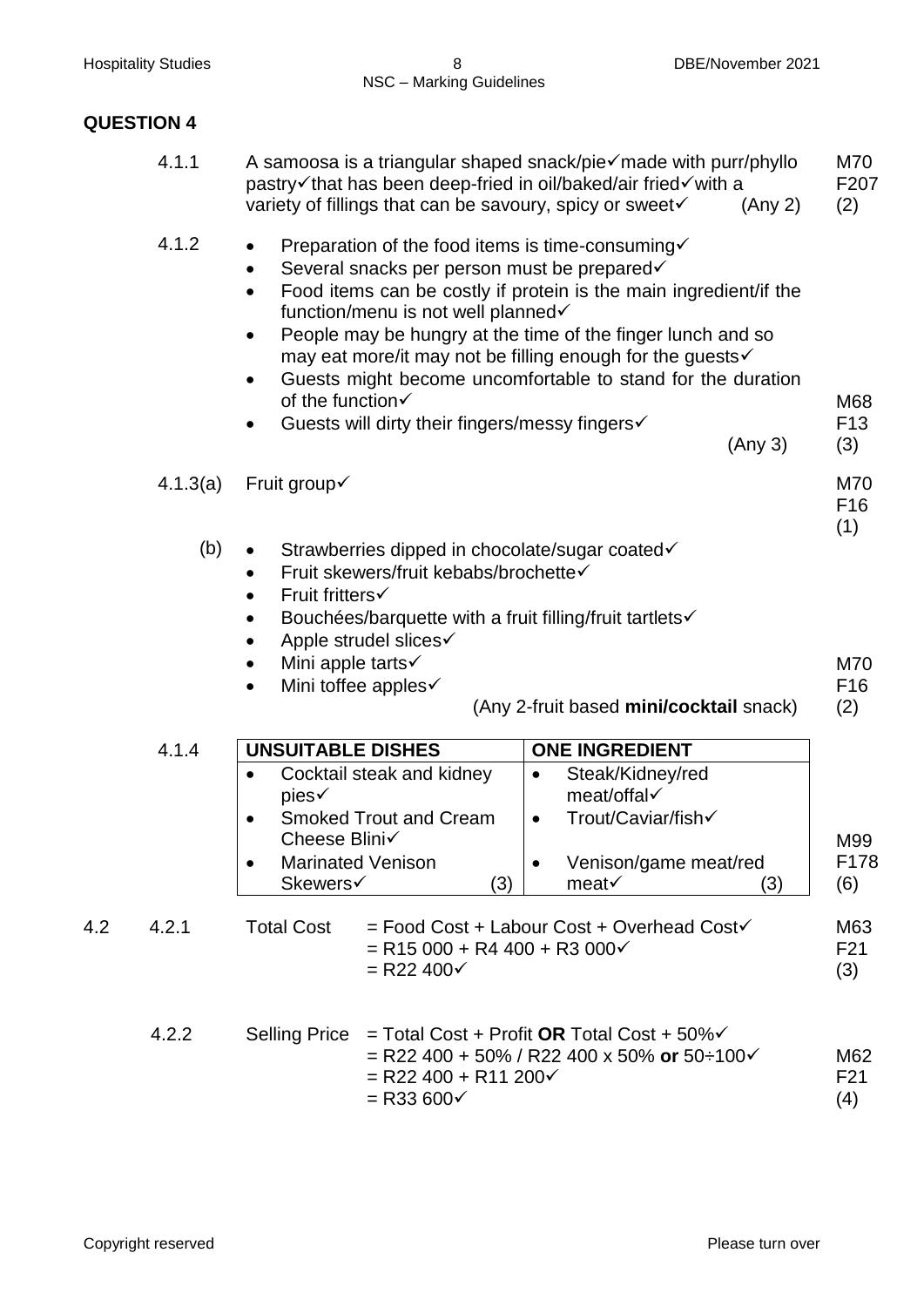# **QUESTION 4**

|     | 4.1.1    | A samoosa is a triangular shaped snack/pie $\checkmark$ made with purr/phyllo<br>pastry√that has been deep-fried in oil/baked/air fried√with a<br>variety of fillings that can be savoury, spicy or sweet√<br>(Any 2)                                                                                                                                                                                                                                                                                                                      | M70<br>F <sub>207</sub><br>(2) |
|-----|----------|--------------------------------------------------------------------------------------------------------------------------------------------------------------------------------------------------------------------------------------------------------------------------------------------------------------------------------------------------------------------------------------------------------------------------------------------------------------------------------------------------------------------------------------------|--------------------------------|
|     | 4.1.2    | Preparation of the food items is time-consuming√<br>$\bullet$<br>Several snacks per person must be prepared√<br>$\bullet$<br>Food items can be costly if protein is the main ingredient/if the<br>$\bullet$<br>function/menu is not well planned√<br>People may be hungry at the time of the finger lunch and so<br>$\bullet$<br>may eat more/it may not be filling enough for the guests√<br>Guests might become uncomfortable to stand for the duration<br>of the function√<br>Guests will dirty their fingers/messy fingers√<br>(Any 3) | M68<br>F <sub>13</sub><br>(3)  |
|     | 4.1.3(a) | Fruit group√                                                                                                                                                                                                                                                                                                                                                                                                                                                                                                                               | M70<br>F <sub>16</sub><br>(1)  |
|     | (b)      | Strawberries dipped in chocolate/sugar coated√<br>$\bullet$<br>Fruit skewers/fruit kebabs/brochette√<br>$\bullet$<br>Fruit fritters√<br>$\bullet$<br>Bouchées/barquette with a fruit filling/fruit tartlets√<br>$\bullet$<br>Apple strudel slices√<br>Mini apple tarts√<br>Mini toffee apples√<br>$\bullet$<br>(Any 2-fruit based mini/cocktail snack)                                                                                                                                                                                     | M70<br>F <sub>16</sub><br>(2)  |
|     | 4.1.4    | <b>UNSUITABLE DISHES</b><br><b>ONE INGREDIENT</b><br>Cocktail steak and kidney<br>Steak/Kidney/red<br>$\bullet$<br>٠<br>meat/offal√<br>pies√<br>Trout/Caviar/fish√<br><b>Smoked Trout and Cream</b><br>$\bullet$<br>$\bullet$<br>Cheese Blini√<br><b>Marinated Venison</b><br>Venison/game meat/red<br>Skewers√<br>(3)<br>meat $\checkmark$<br>(3)                                                                                                                                                                                         | M99<br>F178<br>(6)             |
| 4.2 | 4.2.1    | <b>Total Cost</b><br>$=$ Food Cost + Labour Cost + Overhead Cost $\checkmark$<br>$=$ R15 000 + R4 400 + R3 000 $\checkmark$<br>$=$ R22 400 $\checkmark$                                                                                                                                                                                                                                                                                                                                                                                    | M63<br>F <sub>21</sub><br>(3)  |
|     | 4.2.2    | <b>Selling Price</b><br>$=$ Total Cost + Profit OR Total Cost + 50% $\checkmark$<br>= R22 400 + 50% / R22 400 x 50% or 50÷100 $\checkmark$<br>$=$ R22 400 + R11 200 $\checkmark$<br>$=$ R33 600 $\checkmark$                                                                                                                                                                                                                                                                                                                               | M62<br>F <sub>21</sub><br>(4)  |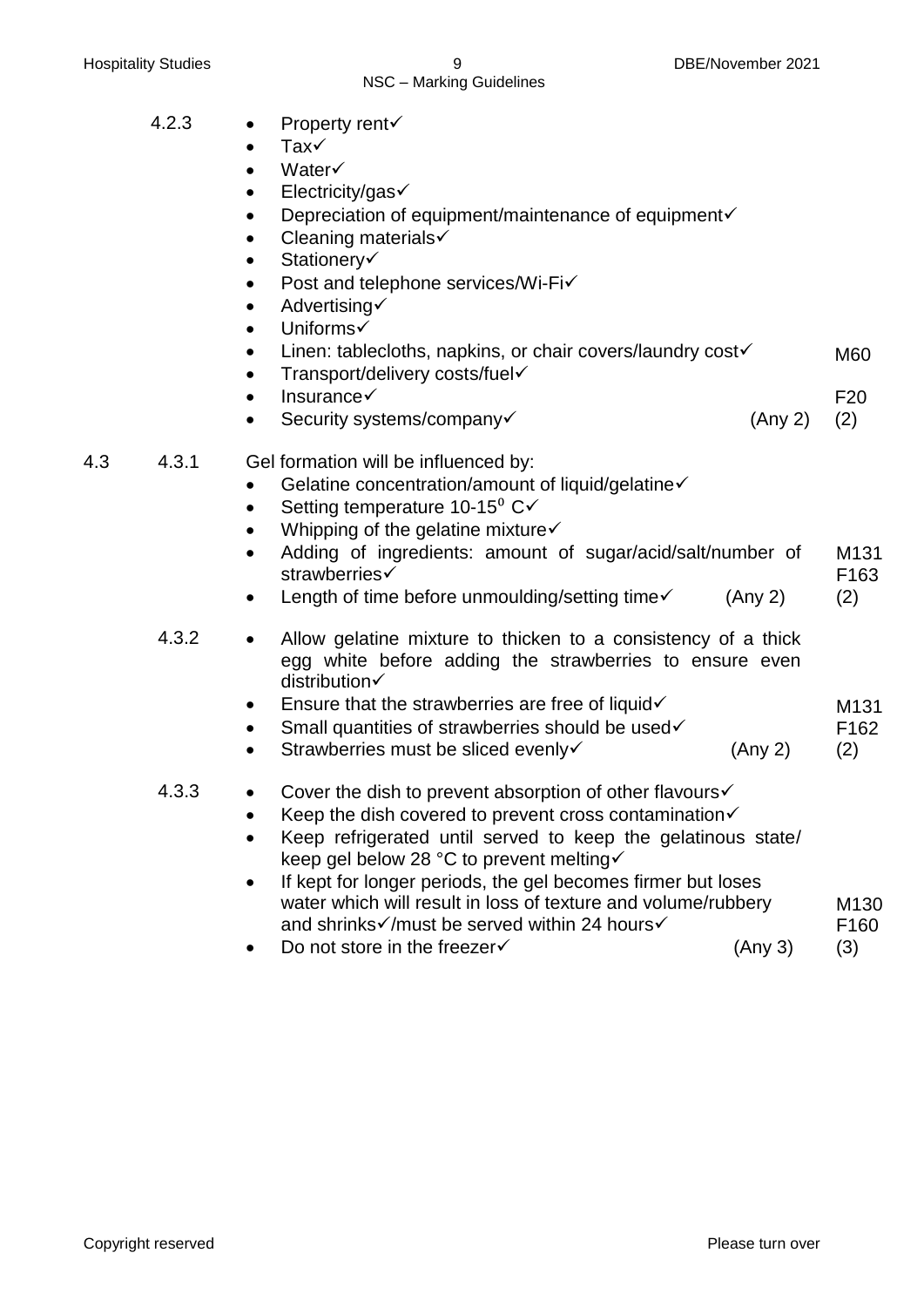### NSC – Marking Guidelines

- 4.2.3 Property rent
	- Tax
	- Water
	- Electricity/gas
	- $\bullet$  Depreciation of equipment/maintenance of equipment $\checkmark$
	- $\bullet$  Cleaning materials  $\checkmark$
	- Stationery
	- $\bullet$  Post and telephone services/Wi-Fi $\checkmark$
	- $\bullet$  Advertising
	- Uniforms
	- Linen: tablecloths, napkins, or chair covers/laundry cost $\checkmark$ M60
	- $\bullet$  Transport/delivery costs/fuel $\checkmark$  Insurance F20
	- Security systems/company <del>V</del> (Any 2) (2)

4.3 4.3.1 Gel formation will be influenced by:

- $\bullet$  Gelatine concentration/amount of liquid/gelatine $\checkmark$
- Setting temperature 10-15 $\mathrm{C}$  $\checkmark$
- Whipping of the gelatine mixture $\checkmark$
- Adding of ingredients: amount of sugar/acid/salt/number of strawberries $\checkmark$ M131 F163
- Length of time before unmoulding/setting time  $\checkmark$  (Any 2) (2)

4.3.2 • Allow gelatine mixture to thicken to a consistency of a thick egg white before adding the strawberries to ensure even distribution $\checkmark$ 

- $\bullet$  Ensure that the strawberries are free of liquid $\checkmark$ M131
- $\bullet$  Small quantities of strawberries should be used $\checkmark$ F162 (2)
- Strawberries must be sliced evenly  $\checkmark$  (Any 2)

# 4.3.3 • Cover the dish to prevent absorption of other flavours  $\checkmark$

- EXECT Keep the dish covered to prevent cross contamination  $\checkmark$
- Keep refrigerated until served to keep the gelatinous state/ keep gel below 28 °C to prevent melting
- If kept for longer periods, the gel becomes firmer but loses water which will result in loss of texture and volume/rubbery and shrinks imust be served within 24 hours in M130 F160 (3)
- Do not store in the freezer  $\checkmark$  (Any 3)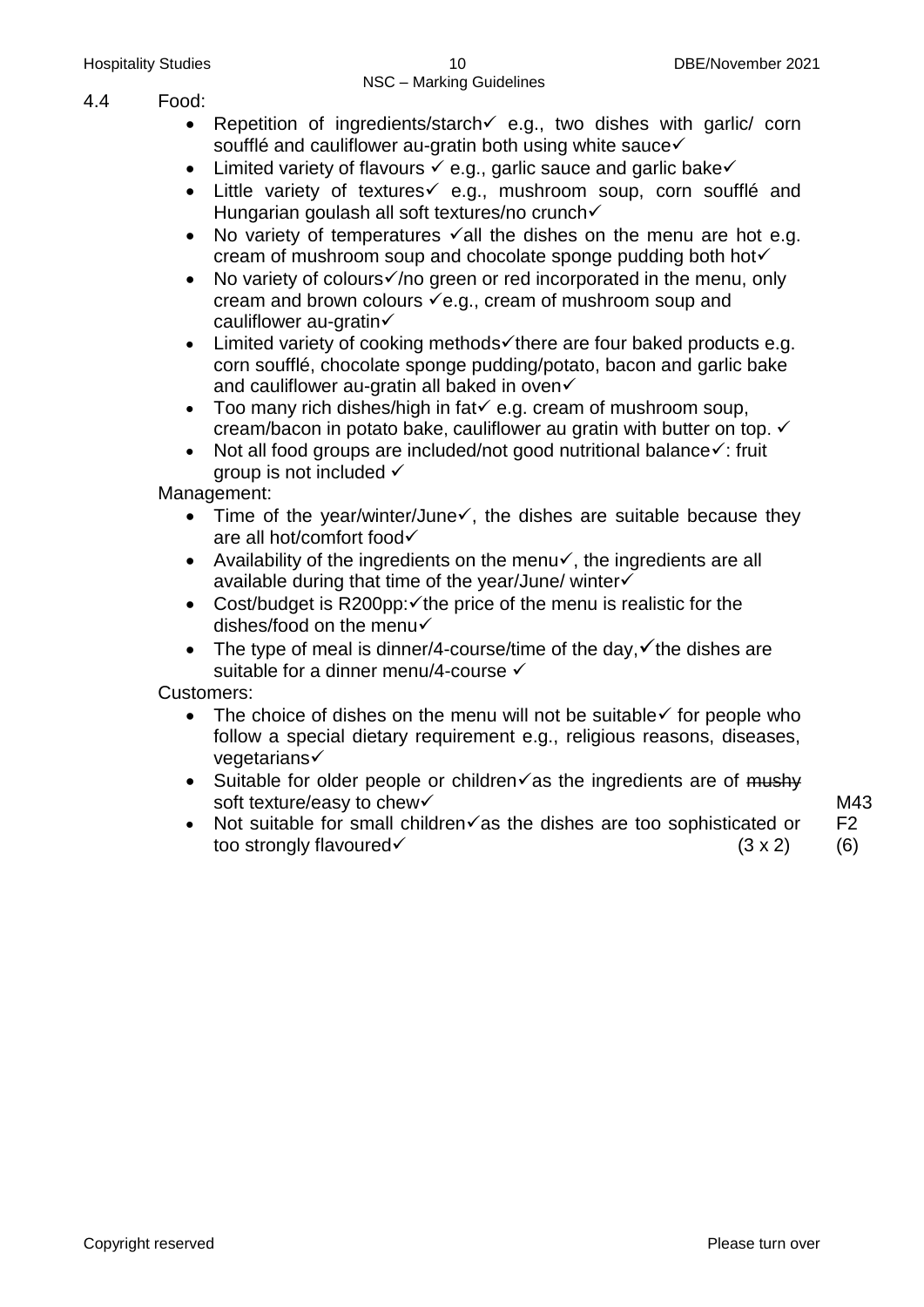- 4.4 Food:
	- Repetition of ingredients/starch  $\leq$  e.g., two dishes with garlic/ corn soufflé and cauliflower au-gratin both using white sauce
	- Limited variety of flavours  $\checkmark$  e.g., garlic sauce and garlic bake  $\checkmark$
	- $\bullet$  Little variety of textures $\checkmark$  e.g., mushroom soup, corn soufflé and Hungarian goulash all soft textures/no crunch
	- No variety of temperatures  $\checkmark$  all the dishes on the menu are hot e.g. cream of mushroom soup and chocolate sponge pudding both hot
	- No variety of colours $\checkmark$  /no green or red incorporated in the menu, only cream and brown colours  $\checkmark$  e.g., cream of mushroom soup and cauliflower au-gratin
	- $\bullet$  Limited variety of cooking methods there are four baked products e.g. corn soufflé, chocolate sponge pudding/potato, bacon and garlic bake and cauliflower au-gratin all baked in oven  $\checkmark$
	- $\bullet$  Too many rich dishes/high in fat  $\checkmark$  e.g. cream of mushroom soup, cream/bacon in potato bake, cauliflower au gratin with butter on top.
	- Not all food groups are included/not good nutritional balance  $\checkmark$ : fruit group is not included

Management:

- Time of the year/winter/June $\checkmark$ , the dishes are suitable because they are all hot/comfort food
- Availability of the ingredients on the menu $\checkmark$ , the ingredients are all available during that time of the year/June/ winter
- Cost/budget is R200pp: $\checkmark$  the price of the menu is realistic for the dishes/food on the menu
- The type of meal is dinner/4-course/time of the day,  $\checkmark$  the dishes are suitable for a dinner menu/4-course  $\checkmark$

Customers:

- The choice of dishes on the menu will not be suitable  $\checkmark$  for people who follow a special dietary requirement e.g., religious reasons, diseases,  $v$ egetarians $\checkmark$
- $\bullet$  Suitable for older people or children $\checkmark$  as the ingredients are of mushy soft texture/easy to chew√
- Not suitable for small children $\checkmark$  as the dishes are too sophisticated or too strongly flavoured  $(3 \times 2)$

M43 F2

(6)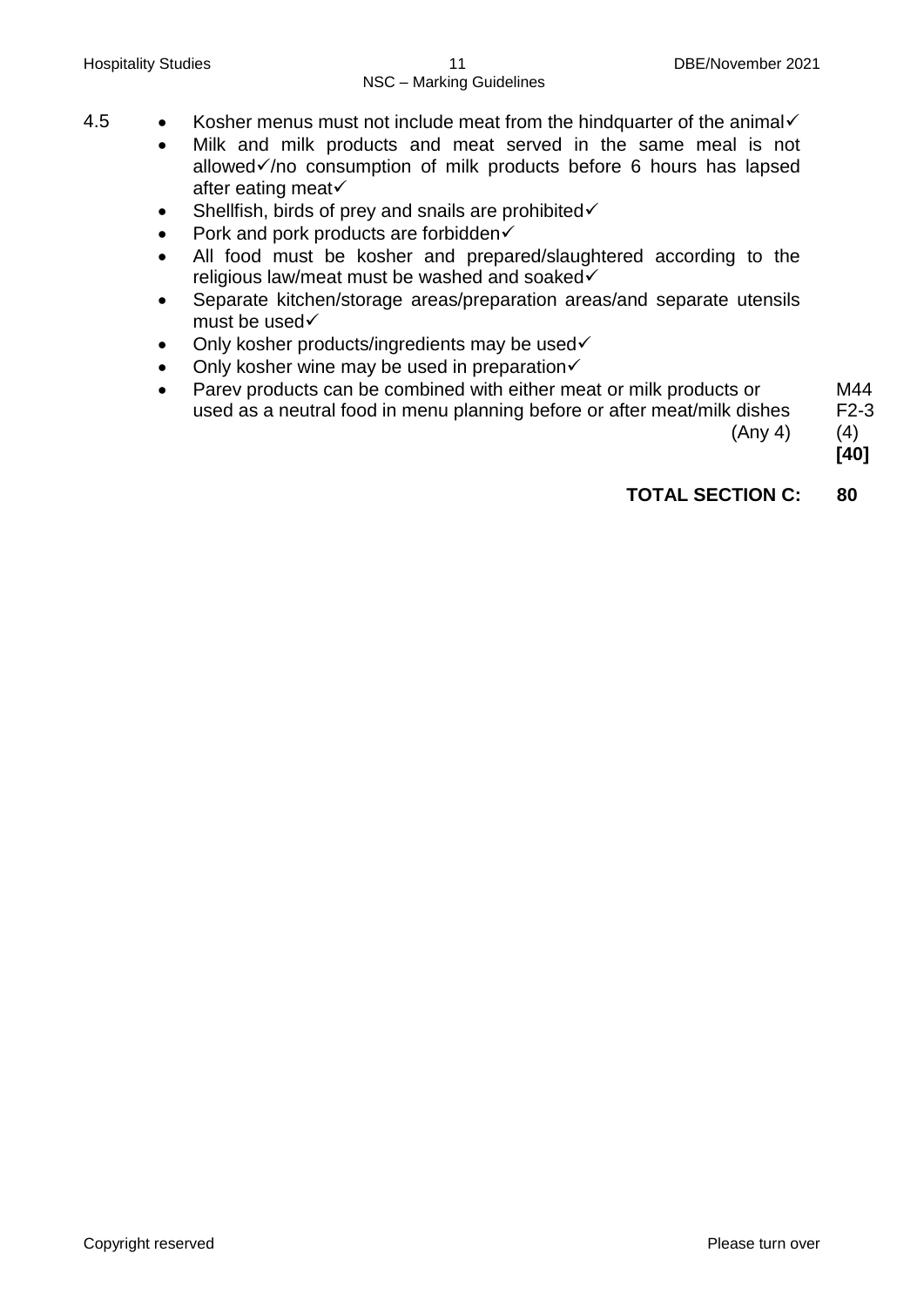- 4.5 Kosher menus must not include meat from the hindquarter of the animal  $\checkmark$ 
	- Milk and milk products and meat served in the same meal is not allowed $\checkmark$  no consumption of milk products before 6 hours has lapsed after eating meat
	- $\bullet$  Shellfish, birds of prey and snails are prohibited $\checkmark$
	- Pork and pork products are forbidden $\checkmark$
	- All food must be kosher and prepared/slaughtered according to the religious law/meat must be washed and soaked
	- Separate kitchen/storage areas/preparation areas/and separate utensils must be used√
	- Only kosher products/ingredients may be used $\checkmark$
	- Only kosher wine may be used in preparation $\checkmark$
	- Parev products can be combined with either meat or milk products or used as a neutral food in menu planning before or after meat/milk dishes (Any 4)

M44 F2-3

(4)

 **[40]**

# **TOTAL SECTION C: 80**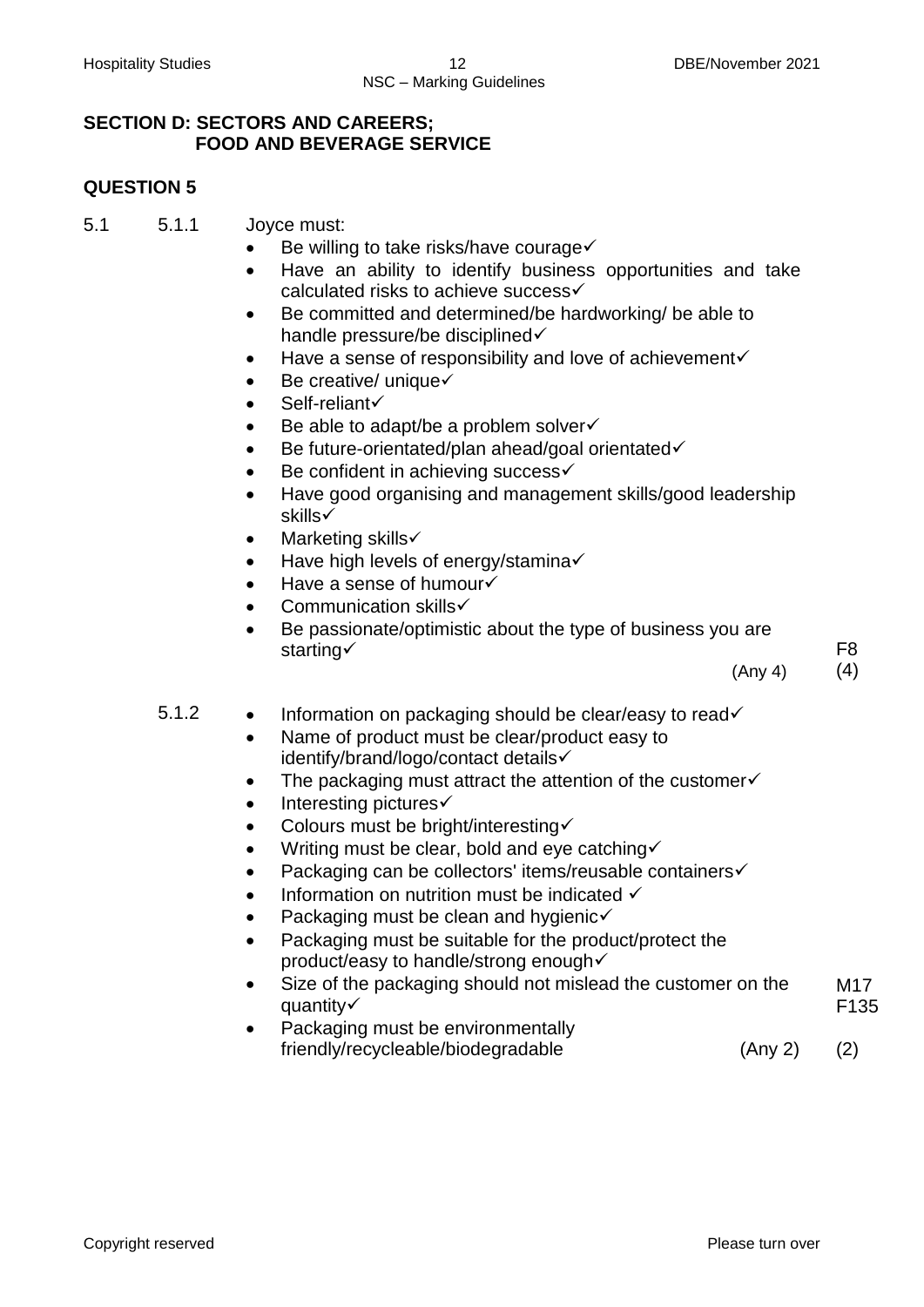### **SECTION D: SECTORS AND CAREERS; FOOD AND BEVERAGE SERVICE**

# **QUESTION 5**

- 5.1 5.1.1 Joyce must:
	- Be willing to take risks/have courage√
	- Have an ability to identify business opportunities and take calculated risks to achieve success
	- Be committed and determined/be hardworking/ be able to handle pressure/be disciplined $\checkmark$
	- $\bullet$  Have a sense of responsibility and love of achievement $\checkmark$
	- $\bullet$  Be creative/ unique $\checkmark$
	- $\bullet$  Self-reliant $\checkmark$
	- $\bullet$  Be able to adapt/be a problem solver  $\checkmark$
	- Be future-orientated/plan ahead/goal orientated√
	- Be confident in achieving success√
	- Have good organising and management skills/good leadership skills
	- $\bullet$  Marketing skills $\checkmark$
	- Have high levels of energy/stamina√
	- Have a sense of humour√
	- Communication skills
	- Be passionate/optimistic about the type of business you are starting√

(Any 4)

(4)

F8

- 5.1.2  $\bullet$  Information on packaging should be clear/easy to read $\checkmark$ 
	- Name of product must be clear/product easy to identify/brand/logo/contact details
	- $\bullet$  The packaging must attract the attention of the customer $\checkmark$
	- $\bullet$  Interesting pictures $\checkmark$
	- Colours must be bright/interesting $\checkmark$
	- $\bullet$  Writing must be clear, bold and eye catching  $\checkmark$
	- Packaging can be collectors' items/reusable containers√
	- Information on nutrition must be indicated  $\checkmark$
	- Packaging must be clean and hygienic $\checkmark$
	- Packaging must be suitable for the product/protect the product/easy to handle/strong enough
	- Size of the packaging should not mislead the customer on the quantity√ M17 F135
	- Packaging must be environmentally friendly/recycleable/biodegradable (Any 2) (2)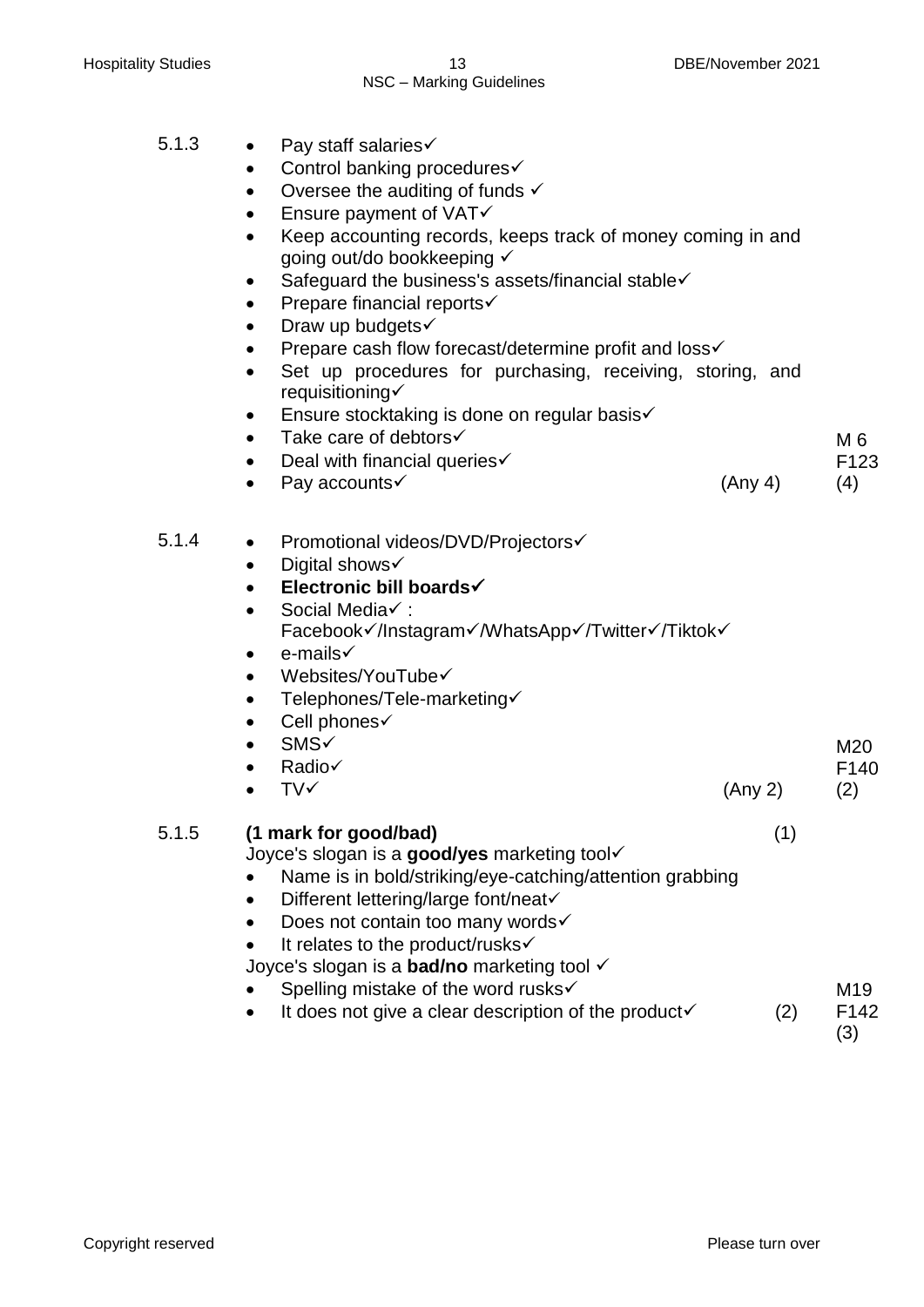- 5.1.3 Pay staff salaries
	- $\bullet$  Control banking procedures $\checkmark$
	- Oversee the auditing of funds  $\checkmark$
	- $\bullet$  Ensure payment of VAT $\checkmark$
	- Keep accounting records, keeps track of money coming in and going out/do bookkeeping √
	- $\bullet$  Safeguard the business's assets/financial stable $\checkmark$
	- $\bullet$  Prepare financial reports $\checkmark$
	- Draw up budgets $\checkmark$
	- Prepare cash flow forecast/determine profit and loss $\checkmark$
	- Set up procedures for purchasing, receiving, storing, and requisitioning
	- **Ensure stocktaking is done on regular basis**  $\checkmark$
	- $\bullet$  Take care of debtors $\checkmark$
	- Deal with financial queries  $\checkmark$
	- Pay accounts  $(Any 4)$
- 5.1.4 Promotional videos/DVD/Projectors√
	- $\bullet$  Digital shows  $\checkmark$
	- **Electronic bill boards**
	- Social Media√ : Facebook√/Instagram√/WhatsApp√/Twitter√/Tiktok√
	- $\bullet$  e-mails  $\checkmark$
	- Websites/YouTube $\checkmark$
	- Telephones/Tele-marketing
	- $\bullet$  Cell phones $\checkmark$
	- **SMS**
	- Radio
	- $TV \checkmark$  (Any 2)
- 5.1.5 **(1 mark for good/bad)** (1)

Joyce's slogan is a **good/yes** marketing tool

- Name is in bold/striking/eye-catching/attention grabbing
- $\bullet$  Different lettering/large font/neat $\checkmark$
- $\bullet$  Does not contain too many words $\checkmark$
- It relates to the product/rusks

Joyce's slogan is a **bad/no** marketing tool

- Spelling mistake of the word rusks√ M<sub>19</sub>
- It does not give a clear description of the product  $(2)$ F142

(3)

M20 F140 (2)

 $M_6$ F123 (4)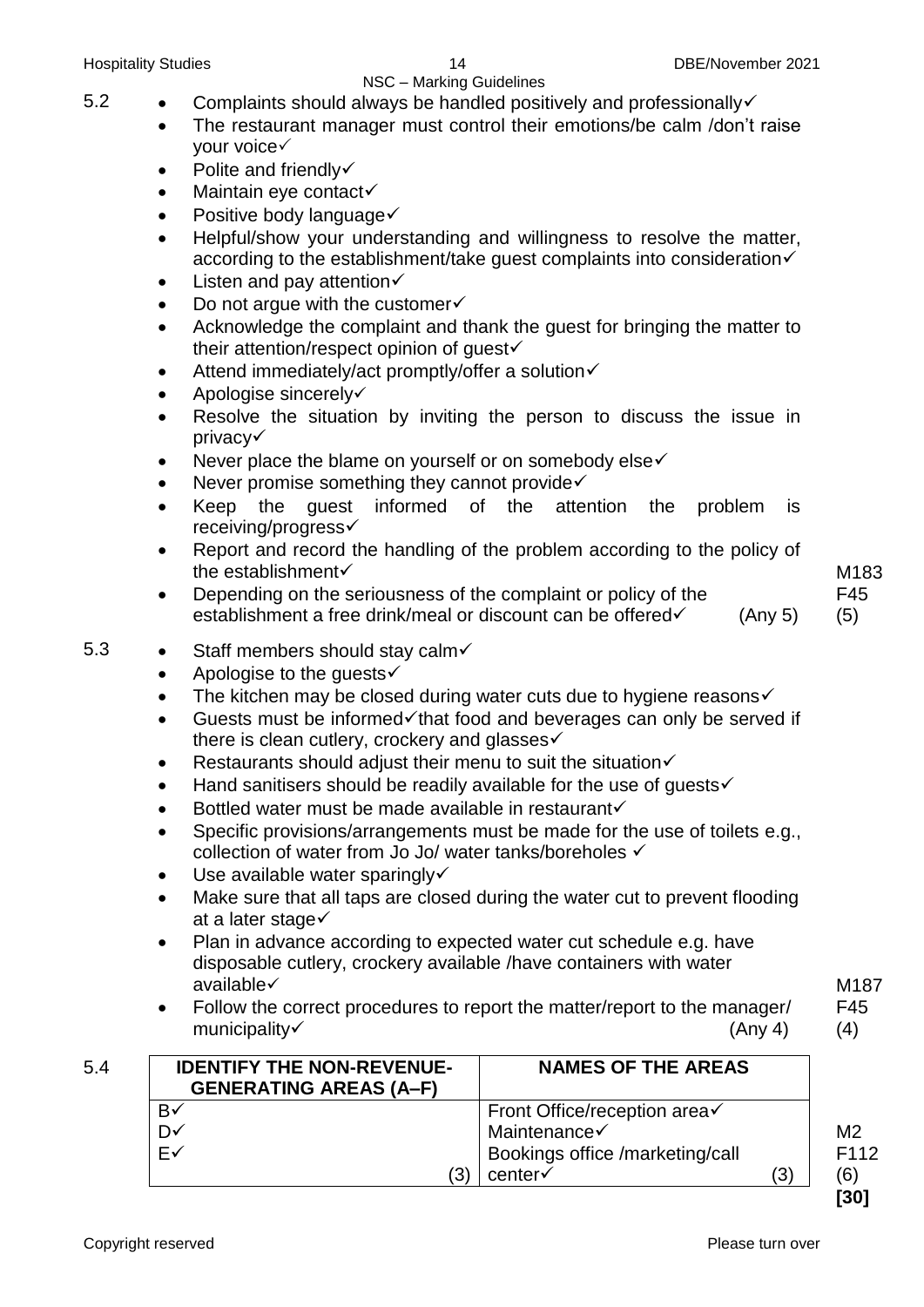# NSC – Marking Guidelines

- 5.2  $\bullet$  Complaints should always be handled positively and professionally  $\checkmark$ 
	- The restaurant manager must control their emotions/be calm /don't raise your voice
	- $\bullet$  Polite and friendly $\checkmark$
	- Maintain eye contact√
	- $\bullet$  Positive body language $\checkmark$
	- Helpful/show your understanding and willingness to resolve the matter, according to the establishment/take quest complaints into consideration $\checkmark$
	- $\bullet$  Listen and pay attention $\checkmark$
	- $\bullet$  Do not argue with the customer $\checkmark$
	- Acknowledge the complaint and thank the guest for bringing the matter to their attention/respect opinion of guest
	- $\bullet$  Attend immediately/act promptly/offer a solution $\checkmark$
	- $\bullet$  Apologise sincerely $\checkmark$
	- Resolve the situation by inviting the person to discuss the issue in privacy
	- Never place the blame on yourself or on somebody else $\checkmark$
	- $\bullet$  Never promise something they cannot provide $\checkmark$
	- Keep the guest informed of the attention the problem is receiving/progress
	- Report and record the handling of the problem according to the policy of the establishment
	- Depending on the seriousness of the complaint or policy of the establishment a free drink/meal or discount can be offered  $\checkmark$  (Any 5)

M183 F45 (5)

# 5.3 • Staff members should stay calm $\checkmark$

- Apologise to the quests $\checkmark$
- The kitchen may be closed during water cuts due to hygiene reasons  $\checkmark$
- Guests must be informed $\checkmark$  that food and beverages can only be served if there is clean cutlery, crockery and glasses√
- **•** Restaurants should adjust their menu to suit the situation $\checkmark$
- $\bullet$  Hand sanitisers should be readily available for the use of quests $\checkmark$
- $\bullet$  Bottled water must be made available in restaurant $\checkmark$
- Specific provisions/arrangements must be made for the use of toilets e.g., collection of water from Jo Jo/ water tanks/boreholes
- $\bullet$  Use available water sparingly  $\checkmark$
- Make sure that all taps are closed during the water cut to prevent flooding at a later stage  $\checkmark$
- Plan in advance according to expected water cut schedule e.g. have disposable cutlery, crockery available /have containers with water available
- Follow the correct procedures to report the matter/report to the manager/ municipality (Any 4)

5.4 **IDENTIFY THE NON-REVENUE-GENERATING AREAS (A–F) NAMES OF THE AREAS**  $\overline{B}$ D✓ E (3) Front Office/reception area $\checkmark$ Maintenance√ Bookings office /marketing/call  $center \checkmark$  (3)  $M<sub>2</sub>$ F112 (6) **[30]**

Copyright reserved **Please turn over the Copyright reserved** Please turn over

M187 F45 (4)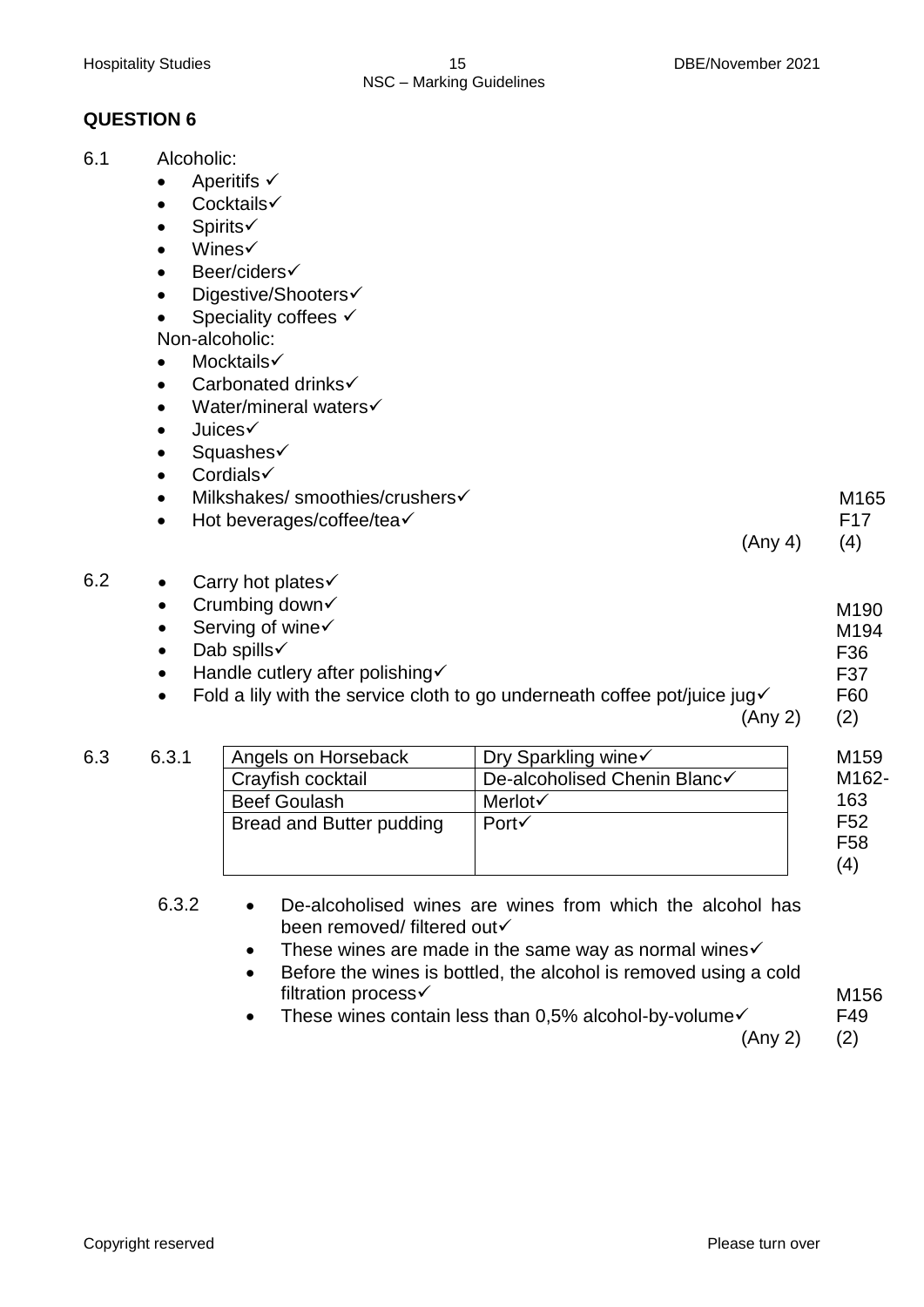# **QUESTION 6**

- 6.1 Alcoholic:
	- $\bullet$  Aperitifs  $\checkmark$
	- $\bullet$  Cocktails $\checkmark$
	- Spirits
	- $\bullet$  Wines $\checkmark$
	- Beer/ciders
	- Digestive/Shooters√
	- Speciality coffees  $\checkmark$

Non-alcoholic:

- Mocktails
- Carbonated drinks√
- $\bullet$  Water/mineral waters $\checkmark$
- $\bullet$  Juices $\checkmark$
- Squashes
- $\bullet$  Cordials $\checkmark$
- Milkshakes/ smoothies/crushers
- $\bullet$  Hot beverages/coffee/tea $\checkmark$

(Any 4) F17 (4)

M165

M<sub>190</sub> M194 F36 F37 F60

- 
- 6.2 Carry hot plates
	- $\bullet$  Crumbing down $\checkmark$  $\bullet$  Serving of wine $\checkmark$ 
		- $\bullet$  Dab spills  $\checkmark$
		- $\bullet$  Handle cutlery after polishing  $\checkmark$
		- Fold a lily with the service cloth to go underneath coffee pot/juice jug $\checkmark$

(Any 2) (2)

| 6.3 | 6.3.1 | Angels on Horseback      | Dry Sparkling wine√          | M <sub>159</sub>   |
|-----|-------|--------------------------|------------------------------|--------------------|
|     |       | Crayfish cocktail        | De-alcoholised Chenin Blanc√ | M <sub>162</sub> - |
|     |       | <b>Beef Goulash</b>      | Merlot√                      | 163                |
|     |       | Bread and Butter pudding | $Port\checkmark$             | F <sub>52</sub>    |
|     |       |                          |                              | F <sub>58</sub>    |
|     |       |                          |                              | (4)                |

- 6.3.2 De-alcoholised wines are wines from which the alcohol has been removed/ filtered out
	- These wines are made in the same way as normal wines $\checkmark$
	- Before the wines is bottled, the alcohol is removed using a cold filtration process√
	- $\bullet$  These wines contain less than 0,5% alcohol-by-volume $\checkmark$

(Any 2) (2)

M156 F49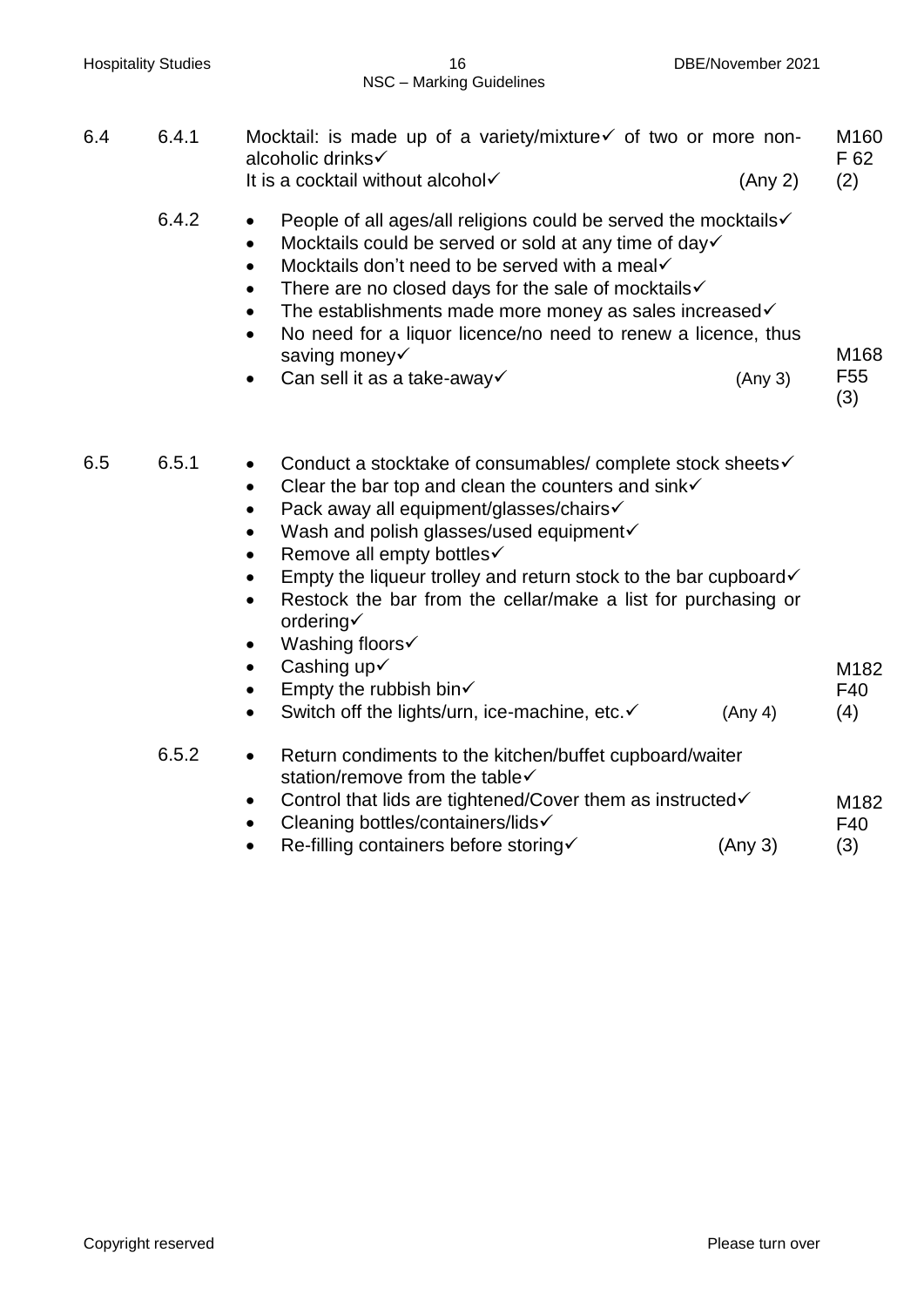| <b>Hospitality Studies</b> |       | 16<br>NSC - Marking Guidelines                                                                                                                                                                                                                                                                                                                                                                                                                                                                                    | DBE/November 2021 |                                 |
|----------------------------|-------|-------------------------------------------------------------------------------------------------------------------------------------------------------------------------------------------------------------------------------------------------------------------------------------------------------------------------------------------------------------------------------------------------------------------------------------------------------------------------------------------------------------------|-------------------|---------------------------------|
| 6.4                        | 6.4.1 | Mocktail: is made up of a variety/mixture $\checkmark$ of two or more non-<br>alcoholic drinks√<br>It is a cocktail without alcohol                                                                                                                                                                                                                                                                                                                                                                               | (Any 2)           | M <sub>160</sub><br>F 62<br>(2) |
|                            | 6.4.2 | People of all ages/all religions could be served the mocktails√<br>$\bullet$<br>Mocktails could be served or sold at any time of day√<br>$\bullet$<br>Mocktails don't need to be served with a meal<br>$\bullet$<br>There are no closed days for the sale of mocktails√<br>$\bullet$<br>The establishments made more money as sales increased√<br>$\bullet$<br>No need for a liquor licence/no need to renew a licence, thus<br>saving money<br>Can sell it as a take-away√                                       | (Any 3)           | M168<br>F <sub>55</sub><br>(3)  |
| 6.5                        | 6.5.1 | Conduct a stocktake of consumables/ complete stock sheets√<br>٠<br>Clear the bar top and clean the counters and sink $\checkmark$<br>$\bullet$<br>Pack away all equipment/glasses/chairs√<br>$\bullet$<br>Wash and polish glasses/used equipment<br>$\bullet$<br>Remove all empty bottles√<br>Empty the liqueur trolley and return stock to the bar cupboard√<br>$\bullet$<br>Restock the bar from the cellar/make a list for purchasing or<br>$\bullet$<br>ordering $\checkmark$<br>Washing floors√<br>$\bullet$ |                   |                                 |
|                            |       | Cashing up√<br>$\bullet$<br>Empty the rubbish bin $\checkmark$<br>Switch off the lights/urn, ice-machine, etc.√<br>$\bullet$                                                                                                                                                                                                                                                                                                                                                                                      | (Any 4)           | M182<br>F40<br>(4)              |
|                            | 6.5.2 | Return condiments to the kitchen/buffet cupboard/waiter<br>$\bullet$<br>station/remove from the table√<br>Control that lids are tightened/Cover them as instructed√<br>Cleaning bottles/containers/lids√<br>Re-filling containers before storing√                                                                                                                                                                                                                                                                 | (Any 3)           | M182<br>F40<br>(3)              |